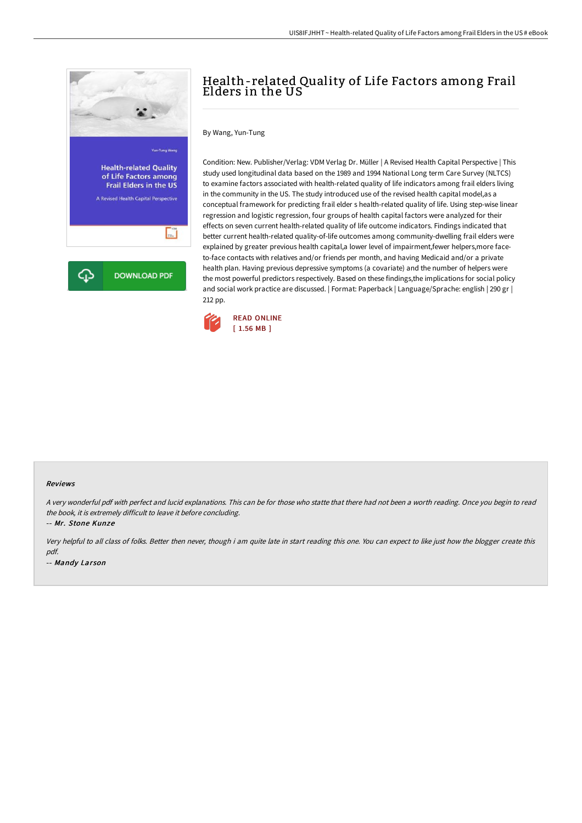

## Health-related Quality of Life Factors among Frail Elders in the US

By Wang, Yun-Tung

Condition: New. Publisher/Verlag: VDM Verlag Dr. Müller | A Revised Health Capital Perspective | This study used longitudinal data based on the 1989 and 1994 National Long term Care Survey (NLTCS) to examine factors associated with health-related quality of life indicators among frail elders living in the community in the US. The study introduced use of the revised health capital model,as a conceptual framework for predicting frail elder s health-related quality of life. Using step-wise linear regression and logistic regression, four groups of health capital factors were analyzed for their effects on seven current health-related quality of life outcome indicators. Findings indicated that better current health-related quality-of-life outcomes among community-dwelling frail elders were explained by greater previous health capital,a lower level of impairment,fewer helpers,more faceto-face contacts with relatives and/or friends per month, and having Medicaid and/or a private health plan. Having previous depressive symptoms (a covariate) and the number of helpers were the most powerful predictors respectively. Based on these findings,the implications for social policy and social work practice are discussed. | Format: Paperback | Language/Sprache: english | 290 gr | 212 pp.



## Reviews

<sup>A</sup> very wonderful pdf with perfect and lucid explanations. This can be for those who statte that there had not been <sup>a</sup> worth reading. Once you begin to read the book, it is extremely difficult to leave it before concluding.

-- Mr. Stone Kunze

Very helpful to all class of folks. Better then never, though i am quite late in start reading this one. You can expect to like just how the blogger create this pdf.

-- Mandy Larson